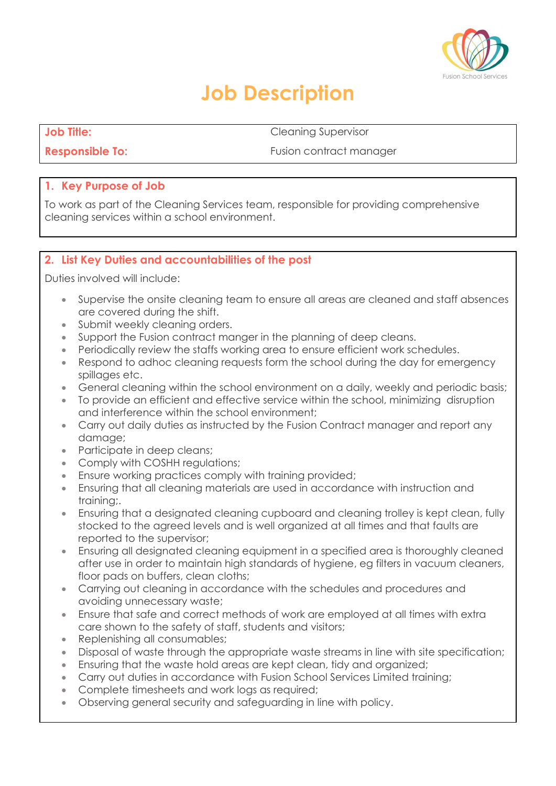

## **Job Description**

**Job Title:** Cleaning Supervisor

**Responsible To: Fusion contract manager** 

#### **1. Key Purpose of Job**

To work as part of the Cleaning Services team, responsible for providing comprehensive cleaning services within a school environment.

### **2. List Key Duties and accountabilities of the post**

Duties involved will include:

- Supervise the onsite cleaning team to ensure all areas are cleaned and staff absences are covered during the shift.
- Submit weekly cleaning orders.
- Support the Fusion contract manger in the planning of deep cleans.
- Periodically review the staffs working area to ensure efficient work schedules.
- Respond to adhoc cleaning requests form the school during the day for emergency spillages etc.
- General cleaning within the school environment on a daily, weekly and periodic basis;
- To provide an efficient and effective service within the school, minimizing disruption and interference within the school environment;
- Carry out daily duties as instructed by the Fusion Contract manager and report any damage;
- Participate in deep cleans;
- Comply with COSHH regulations;
- **Ensure working practices comply with training provided;**
- Ensuring that all cleaning materials are used in accordance with instruction and training;.
- Ensuring that a designated cleaning cupboard and cleaning trolley is kept clean, fully stocked to the agreed levels and is well organized at all times and that faults are reported to the supervisor;
- Ensuring all designated cleaning equipment in a specified area is thoroughly cleaned after use in order to maintain high standards of hygiene, eg filters in vacuum cleaners, floor pads on buffers, clean cloths;
- Carrying out cleaning in accordance with the schedules and procedures and avoiding unnecessary waste;
- Ensure that safe and correct methods of work are employed at all times with extra care shown to the safety of staff, students and visitors;
- Replenishing all consumables;
- Disposal of waste through the appropriate waste streams in line with site specification;
- Ensuring that the waste hold areas are kept clean, tidy and organized;
- Carry out duties in accordance with Fusion School Services Limited training;
- Complete timesheets and work logs as required;
- Observing general security and safeguarding in line with policy.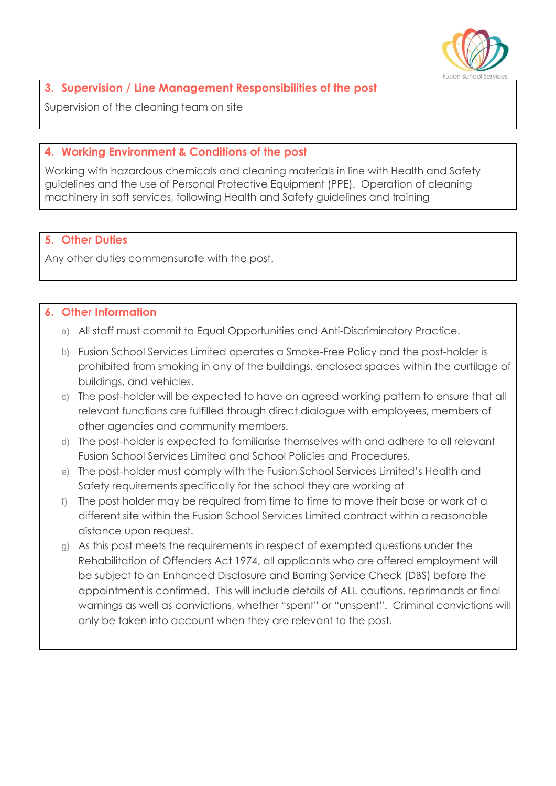

#### **3. Supervision / Line Management Responsibilities of the post**

Supervision of the cleaning team on site

#### **4. Working Environment & Conditions of the post**

Working with hazardous chemicals and cleaning materials in line with Health and Safety guidelines and the use of Personal Protective Equipment (PPE). Operation of cleaning machinery in soft services, following Health and Safety guidelines and training

#### **5. Other Duties**

Any other duties commensurate with the post.

#### **6. Other Information**

- a) All staff must commit to Equal Opportunities and Anti-Discriminatory Practice.
- b) Fusion School Services Limited operates a Smoke-Free Policy and the post-holder is prohibited from smoking in any of the buildings, enclosed spaces within the curtilage of buildings, and vehicles.
- c) The post-holder will be expected to have an agreed working pattern to ensure that all relevant functions are fulfilled through direct dialogue with employees, members of other agencies and community members.
- d) The post-holder is expected to familiarise themselves with and adhere to all relevant Fusion School Services Limited and School Policies and Procedures.
- e) The post-holder must comply with the Fusion School Services Limited's Health and Safety requirements specifically for the school they are working at
- f) The post holder may be required from time to time to move their base or work at a different site within the Fusion School Services Limited contract within a reasonable distance upon request.
- g) As this post meets the requirements in respect of exempted questions under the Rehabilitation of Offenders Act 1974, all applicants who are offered employment will be subject to an Enhanced Disclosure and Barring Service Check (DBS) before the appointment is confirmed. This will include details of ALL cautions, reprimands or final warnings as well as convictions, whether "spent" or "unspent". Criminal convictions will only be taken into account when they are relevant to the post.